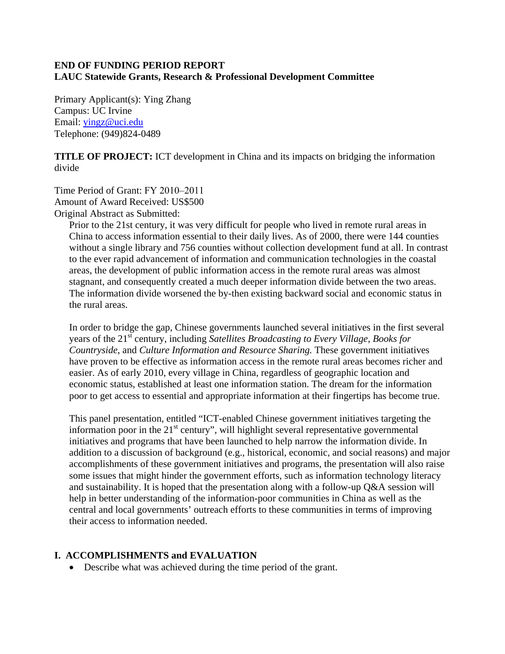#### **END OF FUNDING PERIOD REPORT LAUC Statewide Grants, Research & Professional Development Committee**

Primary Applicant(s): Ying Zhang Campus: UC Irvine Email: [yingz@uci.edu](mailto:yingz@uci.edu) Telephone: (949)824-0489

**TITLE OF PROJECT:** ICT development in China and its impacts on bridging the information divide

Time Period of Grant: FY 2010–2011 Amount of Award Received: US\$500 Original Abstract as Submitted:

Prior to the 21st century, it was very difficult for people who lived in remote rural areas in China to access information essential to their daily lives. As of 2000, there were 144 counties without a single library and 756 counties without collection development fund at all. In contrast to the ever rapid advancement of information and communication technologies in the coastal areas, the development of public information access in the remote rural areas was almost stagnant, and consequently created a much deeper information divide between the two areas. The information divide worsened the by-then existing backward social and economic status in the rural areas.

In order to bridge the gap, Chinese governments launched several initiatives in the first several years of the 21st century, including *Satellites Broadcasting to Every Village*, *Books for Countryside*, and *Culture Information and Resource Sharing.* These government initiatives have proven to be effective as information access in the remote rural areas becomes richer and easier. As of early 2010, every village in China, regardless of geographic location and economic status, established at least one information station. The dream for the information poor to get access to essential and appropriate information at their fingertips has become true.

This panel presentation, entitled "ICT-enabled Chinese government initiatives targeting the information poor in the  $21<sup>st</sup>$  century", will highlight several representative governmental initiatives and programs that have been launched to help narrow the information divide. In addition to a discussion of background (e.g., historical, economic, and social reasons) and major accomplishments of these government initiatives and programs, the presentation will also raise some issues that might hinder the government efforts, such as information technology literacy and sustainability. It is hoped that the presentation along with a follow-up Q&A session will help in better understanding of the information-poor communities in China as well as the central and local governments' outreach efforts to these communities in terms of improving their access to information needed.

### **I. ACCOMPLISHMENTS and EVALUATION**

• Describe what was achieved during the time period of the grant.